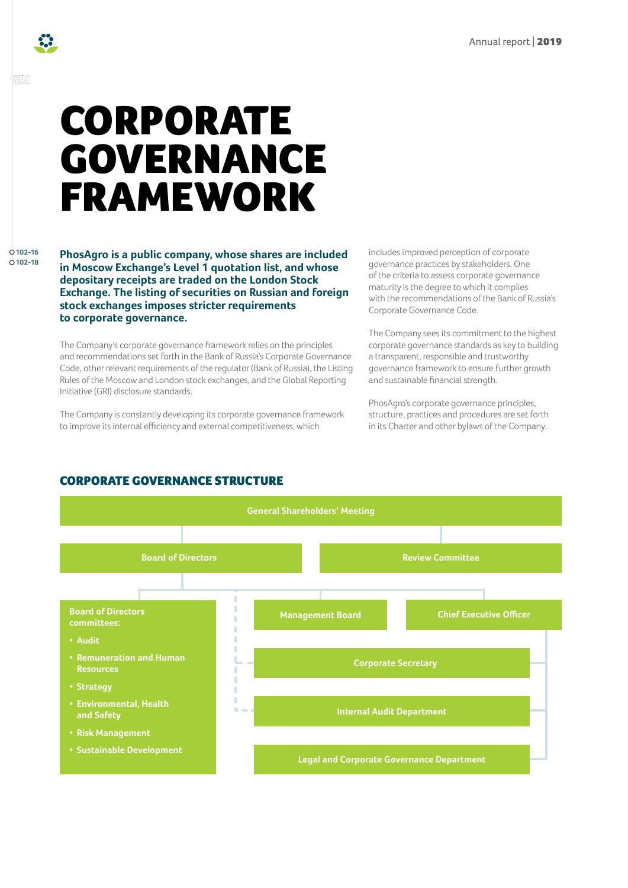

GRI

# CORPORATE GOVERNANCE FRAMEWORK

**102-16 102-18**

**PhosAgro is a public company, whose shares are included in Moscow Exchange's Level 1 quotation list, and whose depositary receipts are traded on the London Stock Exchange. The listing of securities on Russian and foreign stock exchanges imposes stricter requirements to corporate governance.** 

The Company's corporate governance framework relies on the principles and recommendations set forth in the Bank of Russia's Corporate Governance Code, other relevant requirements of the regulator (Bank of Russia), the Listing Rules of the Moscow and London stock exchanges, and the Global Reporting Initiative (GRI) disclosure standards.

The Company is constantly developing its corporate governance framework to improve its internal efficiency and external competitiveness, which

includes improved perception of corporate governance practices by stakeholders. One of the criteria to assess corporate governance maturity is the degree to which it complies with the recommendations of the Bank of Russia's Corporate Governance Code.

The Company sees its commitment to the highest corporate governance standards as key to building a transparent, responsible and trustworthy governance framework to ensure further growth and sustainable financial strength.

PhosAgro's corporate governance principles, structure, practices and procedures are set forth in its Charter and other bylaws of the Company.



## CORPORATE GOVERNANCE STRUCTURE